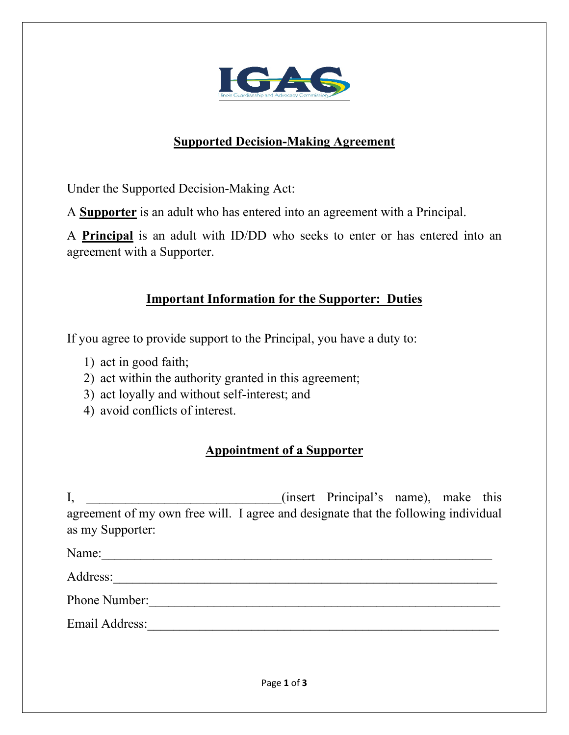

## **Supported Decision-Making Agreement**

Under the Supported Decision-Making Act:

A **Supporter** is an adult who has entered into an agreement with a Principal.

A **Principal** is an adult with ID/DD who seeks to enter or has entered into an agreement with a Supporter.

## **Important Information for the Supporter: Duties**

If you agree to provide support to the Principal, you have a duty to:

- 1) act in good faith;
- 2) act within the authority granted in this agreement;
- 3) act loyally and without self-interest; and
- 4) avoid conflicts of interest.

## **Appointment of a Supporter**

I,  $\qquad \qquad$  (insert Principal's name), make this agreement of my own free will. I agree and designate that the following individual as my Supporter:

Name: Address:\_\_\_\_\_\_\_\_\_\_\_\_\_\_\_\_\_\_\_\_\_\_\_\_\_\_\_\_\_\_\_\_\_\_\_\_\_\_\_\_\_\_\_\_\_\_\_\_\_\_\_\_\_\_\_\_\_\_\_ Phone Number:\_\_\_\_\_\_\_\_\_\_\_\_\_\_\_\_\_\_\_\_\_\_\_\_\_\_\_\_\_\_\_\_\_\_\_\_\_\_\_\_\_\_\_\_\_\_\_\_\_\_\_\_\_\_ Email Address:\_\_\_\_\_\_\_\_\_\_\_\_\_\_\_\_\_\_\_\_\_\_\_\_\_\_\_\_\_\_\_\_\_\_\_\_\_\_\_\_\_\_\_\_\_\_\_\_\_\_\_\_\_\_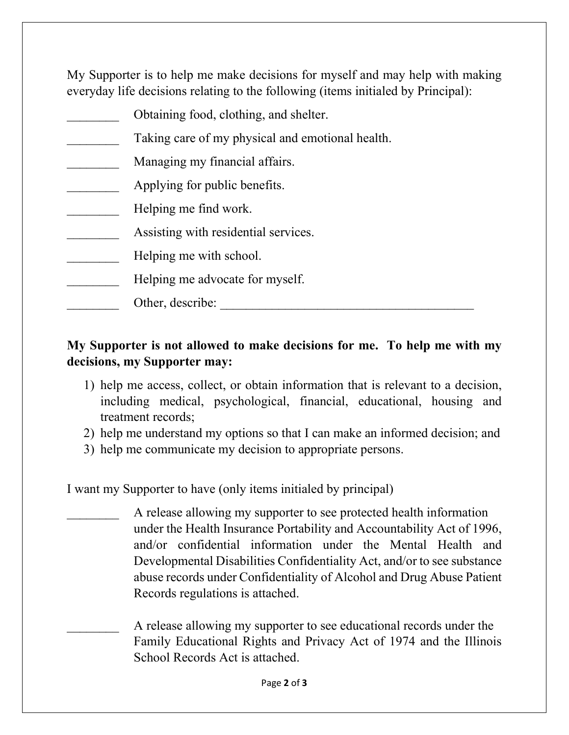My Supporter is to help me make decisions for myself and may help with making everyday life decisions relating to the following (items initialed by Principal):

| Obtaining food, clothing, and shelter.           |
|--------------------------------------------------|
| Taking care of my physical and emotional health. |
| Managing my financial affairs.                   |
| Applying for public benefits.                    |
| Helping me find work.                            |
| Assisting with residential services.             |
| Helping me with school.                          |
| Helping me advocate for myself.                  |
| Other, describe:                                 |
|                                                  |

## **My Supporter is not allowed to make decisions for me. To help me with my decisions, my Supporter may:**

- 1) help me access, collect, or obtain information that is relevant to a decision, including medical, psychological, financial, educational, housing and treatment records;
- 2) help me understand my options so that I can make an informed decision; and
- 3) help me communicate my decision to appropriate persons.

I want my Supporter to have (only items initialed by principal)

A release allowing my supporter to see protected health information under the Health Insurance Portability and Accountability Act of 1996, and/or confidential information under the Mental Health and Developmental Disabilities Confidentiality Act, and/or to see substance abuse records under Confidentiality of Alcohol and Drug Abuse Patient Records regulations is attached.

A release allowing my supporter to see educational records under the Family Educational Rights and Privacy Act of 1974 and the Illinois School Records Act is attached.